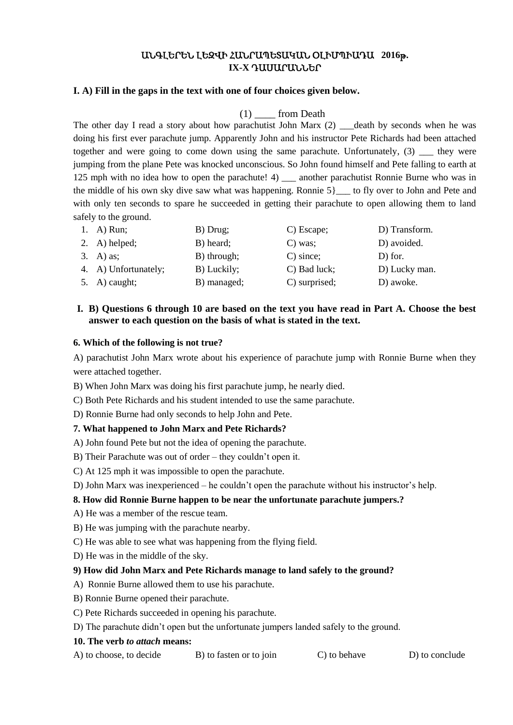# ԱՆԳԼԵՐԵՆ ԼԵԶՎԻ ՀԱՆՐԱՊԵՏԱԿԱՆ ՕԼԻՄՊԻԱԴԱ **2016**թ**. IX-X** ԴԱՍԱՐԱՆՆԵՐ

## **I. A) Fill in the gaps in the text with one of four choices given below.**

# (1) \_\_\_\_ from Death

The other day I read a story about how parachutist John Marx (2) \_\_\_ death by seconds when he was doing his first ever parachute jump. Apparently John and his instructor Pete Richards had been attached together and were going to come down using the same parachute. Unfortunately,  $(3)$  they were jumping from the plane Pete was knocked unconscious. So John found himself and Pete falling to earth at 125 mph with no idea how to open the parachute! 4) \_\_\_\_ another parachutist Ronnie Burne who was in the middle of his own sky dive saw what was happening. Ronnie 5}\_\_\_ to fly over to John and Pete and with only ten seconds to spare he succeeded in getting their parachute to open allowing them to land safely to the ground.

| 1. A) Run;           | B) Drug;    | C) Escape;    | D) Transform. |
|----------------------|-------------|---------------|---------------|
| 2. A) helped;        | B) heard;   | $C)$ was;     | D) avoided.   |
| $3. \quad A)$ as;    | B) through; | $C)$ since;   | D) for.       |
| 4. A) Unfortunately; | B) Luckily; | C) Bad luck;  | D) Lucky man. |
| 5. A) caught;        | B) managed; | C) surprised; | D) awoke.     |

# **I. B) Questions 6 through 10 are based on the text you have read in Part A. Choose the best answer to each question on the basis of what is stated in the text.**

#### **6. Which of the following is not true?**

A) parachutist John Marx wrote about his experience of parachute jump with Ronnie Burne when they were attached together.

- B) When John Marx was doing his first parachute jump, he nearly died.
- C) Both Pete Richards and his student intended to use the same parachute.
- D) Ronnie Burne had only seconds to help John and Pete.

## **7. What happened to John Marx and Pete Richards?**

- A) John found Pete but not the idea of opening the parachute.
- B) Their Parachute was out of order they couldn't open it.
- C) At 125 mph it was impossible to open the parachute.
- D) John Marx was inexperienced he couldn't open the parachute without his instructor's help.

## **8. How did Ronnie Burne happen to be near the unfortunate parachute jumpers.?**

- A) He was a member of the rescue team.
- B) He was jumping with the parachute nearby.
- C) He was able to see what was happening from the flying field.
- D) He was in the middle of the sky.

## **9) How did John Marx and Pete Richards manage to land safely to the ground?**

- A) Ronnie Burne allowed them to use his parachute.
- B) Ronnie Burne opened their parachute.
- C) Pete Richards succeeded in opening his parachute.
- D) The parachute didn't open but the unfortunate jumpers landed safely to the ground.

#### **10. The verb** *to attach* **means:**

A) to choose, to decide B) to fasten or to join C) to behave D) to conclude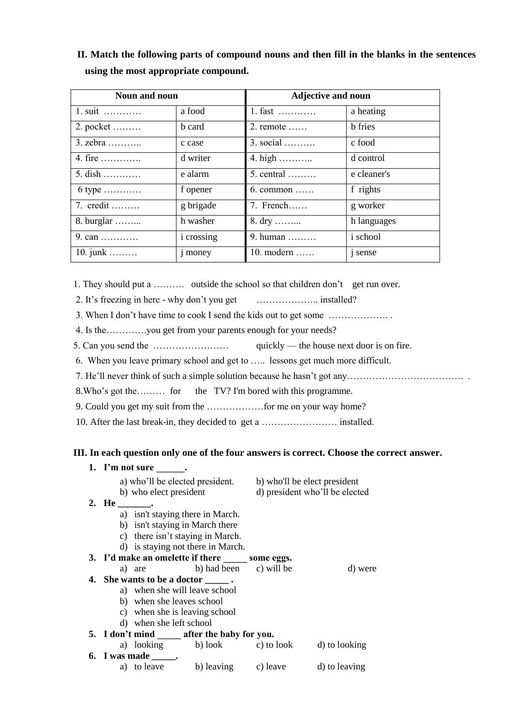**II. Match the following parts of compound nouns and then fill in the blanks in the sentences using the most appropriate compound.**

| Noun and noun    |                   | <b>Adjective and noun</b> |                 |
|------------------|-------------------|---------------------------|-----------------|
| 1. suit          | a food            | 1. fast                   | a heating       |
| 2. pocket        | b card            | $2.$ remote $\ldots$ .    | <b>b</b> fries  |
| $3.$ zebra       | c case            | $3. social$               | c food          |
| 4. fire          | d writer          | 4. high                   | d control       |
| $5.$ dish        | e alarm           | $5.$ central $\dots\dots$ | e cleaner's     |
| $6$ type         | f opener          | $6.$ common               | f rights        |
| 7. credit        | g brigade         | 7. French                 | g worker        |
| 8. burglar       | h washer          | 8. dry                    | h languages     |
|                  | <i>i</i> crossing | 9. human                  | <i>i</i> school |
| 10. junk $\dots$ | <i>j</i> money    | 10. modern                | <i>i</i> sense  |

1. They should put a ………. outside the school so that children don't get run over.

2. It's freezing in here - why don't you get ……………….. installed?

3. When I don't have time to cook I send the kids out to get some ………………. .

4. Is the………….you get from your parents enough for your needs?

5. Can you send the …………………… quickly — the house next door is on fire.

- 6. When you leave primary school and get to ….. lessons get much more difficult.
- 7. He'll never think of such a simple solution because he hasn't got any………………………………. .

8.Who's got the……… for the TV? I'm bored with this programme.

- 9. Could you get my suit from the ………………for me on your way home?
- 10. After the last break-in, they decided to get a …………………… installed.

## **III. In each question only one of the four answers is correct. Choose the correct answer.**

|                                 | 1. I'm not sure .         |                                                                                                                                                                                                                                                                                                                                                                                                           |  |                                |
|---------------------------------|---------------------------|-----------------------------------------------------------------------------------------------------------------------------------------------------------------------------------------------------------------------------------------------------------------------------------------------------------------------------------------------------------------------------------------------------------|--|--------------------------------|
|                                 |                           | a) who'll be elected president.                                                                                                                                                                                                                                                                                                                                                                           |  | b) who'll be elect president   |
|                                 | b) who elect president    |                                                                                                                                                                                                                                                                                                                                                                                                           |  | d) president who'll be elected |
| 2. He ________.                 |                           |                                                                                                                                                                                                                                                                                                                                                                                                           |  |                                |
|                                 |                           | a) isn't staying there in March.                                                                                                                                                                                                                                                                                                                                                                          |  |                                |
| b) isn't staying in March there |                           |                                                                                                                                                                                                                                                                                                                                                                                                           |  |                                |
|                                 |                           | c) there isn't staying in March.                                                                                                                                                                                                                                                                                                                                                                          |  |                                |
|                                 |                           | d) is staying not there in March.                                                                                                                                                                                                                                                                                                                                                                         |  |                                |
|                                 |                           | 3. I'd make an omelette if there _______ some eggs.                                                                                                                                                                                                                                                                                                                                                       |  |                                |
|                                 |                           | a) are b) had been c) will be                                                                                                                                                                                                                                                                                                                                                                             |  | d) were                        |
|                                 |                           | 4. She wants to be a doctor $\frac{1}{\sqrt{1-\frac{1}{\sqrt{1-\frac{1}{\sqrt{1-\frac{1}{\sqrt{1-\frac{1}{\sqrt{1-\frac{1}{\sqrt{1-\frac{1}{\sqrt{1-\frac{1}{\sqrt{1-\frac{1}{\sqrt{1-\frac{1}{\sqrt{1-\frac{1}{\sqrt{1-\frac{1}{\sqrt{1-\frac{1}{\sqrt{1-\frac{1}{\sqrt{1-\frac{1}{\sqrt{1-\frac{1}{\sqrt{1-\frac{1}{\sqrt{1-\frac{1}{\sqrt{1-\frac{1}{\sqrt{1-\frac{1}{\sqrt{1-\frac{1}{\sqrt{1-\frac{$ |  |                                |
|                                 |                           | a) when she will leave school                                                                                                                                                                                                                                                                                                                                                                             |  |                                |
|                                 | b) when she leaves school |                                                                                                                                                                                                                                                                                                                                                                                                           |  |                                |
| c) when she is leaving school   |                           |                                                                                                                                                                                                                                                                                                                                                                                                           |  |                                |
| d) when she left school         |                           |                                                                                                                                                                                                                                                                                                                                                                                                           |  |                                |
|                                 |                           | 5. I don't mind ______ after the baby for you.                                                                                                                                                                                                                                                                                                                                                            |  |                                |
|                                 |                           | a) looking b) look c) to look                                                                                                                                                                                                                                                                                                                                                                             |  | d) to looking                  |
|                                 | 6. I was made $\_\_\_\$ . |                                                                                                                                                                                                                                                                                                                                                                                                           |  |                                |
|                                 | a) to leave               | b) leaving c) leave                                                                                                                                                                                                                                                                                                                                                                                       |  | d) to leaving                  |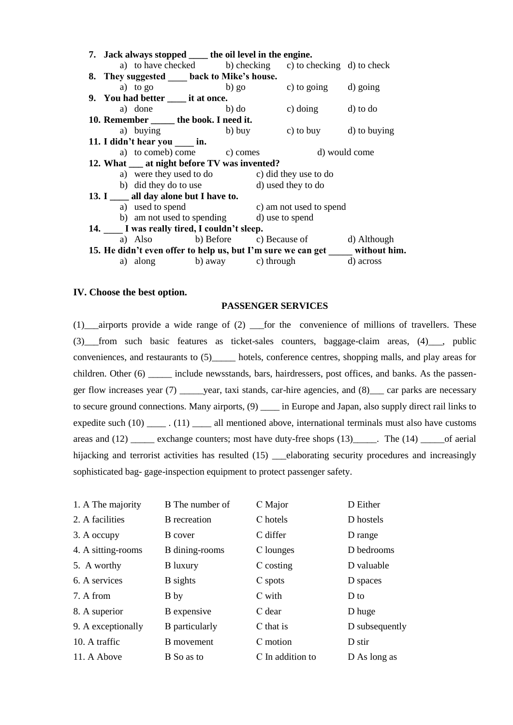|                                           |                                                                                 |                                     | 7. Jack always stopped ______ the oil level in the engine. |                                                           |  |  |
|-------------------------------------------|---------------------------------------------------------------------------------|-------------------------------------|------------------------------------------------------------|-----------------------------------------------------------|--|--|
|                                           |                                                                                 |                                     |                                                            | a) to have checked b) checking c) to checking d) to check |  |  |
|                                           |                                                                                 |                                     | 8. They suggested _____ back to Mike's house.              |                                                           |  |  |
|                                           |                                                                                 |                                     |                                                            | a) to go b) go c) to going d) going                       |  |  |
|                                           |                                                                                 | 9. You had better _____ it at once. |                                                            |                                                           |  |  |
|                                           |                                                                                 |                                     |                                                            | a) done b) do c) doing d) to do                           |  |  |
|                                           |                                                                                 |                                     | 10. Remember ______ the book. I need it.                   |                                                           |  |  |
|                                           |                                                                                 |                                     |                                                            | a) buying b) buy c) to buy d) to buying                   |  |  |
|                                           |                                                                                 | 11. I didn't hear you _____ in.     |                                                            |                                                           |  |  |
|                                           |                                                                                 |                                     |                                                            | a) to comeb) come c) comes d) would come                  |  |  |
|                                           | 12. What <u>equal</u> at night before TV was invented?                          |                                     |                                                            |                                                           |  |  |
|                                           |                                                                                 |                                     |                                                            | a) were they used to do<br>c) did they use to do          |  |  |
|                                           |                                                                                 |                                     |                                                            | b) did they do to use d) used they to do                  |  |  |
|                                           | 13. I all day alone but I have to.                                              |                                     |                                                            |                                                           |  |  |
|                                           |                                                                                 | a) used to spend                    |                                                            | c) am not used to spend                                   |  |  |
|                                           |                                                                                 |                                     |                                                            | b) am not used to spending d) use to spend                |  |  |
| 14. I was really tired, I couldn't sleep. |                                                                                 |                                     |                                                            |                                                           |  |  |
|                                           |                                                                                 |                                     |                                                            | a) Also b) Before c) Because of d) Although               |  |  |
|                                           | 15. He didn't even offer to help us, but I'm sure we can get _____ without him. |                                     |                                                            |                                                           |  |  |
|                                           |                                                                                 |                                     |                                                            | a) along b) away c) through d) across                     |  |  |

#### **IV. Choose the best option.**

## **PASSENGER SERVICES**

 $(1)$  airports provide a wide range of  $(2)$  for the convenience of millions of travellers. These (3)\_\_\_from such basic features as ticket-sales counters, baggage-claim areas, (4)\_\_\_, public conveniences, and restaurants to (5)\_\_\_\_\_ hotels, conference centres, shopping malls, and play areas for children. Other (6) \_\_\_\_\_ include newsstands, bars, hairdressers, post offices, and banks. As the passenger flow increases year (7) \_\_\_\_\_year, taxi stands, car-hire agencies, and (8)\_\_\_ car parks are necessary to secure ground connections. Many airports,  $(9)$  \_\_\_\_ in Europe and Japan, also supply direct rail links to expedite such (10) \_\_\_\_\_ . (11) \_\_\_\_ all mentioned above, international terminals must also have customs areas and (12) \_\_\_\_\_\_ exchange counters; most have duty-free shops (13) \_\_\_\_\_\_. The (14) \_\_\_\_\_\_of aerial hijacking and terrorist activities has resulted (15) elaborating security procedures and increasingly sophisticated bag- gage-inspection equipment to protect passenger safety.

| 1. A The majority  | B The number of     | C Major          | D Either       |
|--------------------|---------------------|------------------|----------------|
| 2. A facilities    | <b>B</b> recreation | C hotels         | D hostels      |
| 3. A occupy        | B cover             | C differ         | D range        |
| 4. A sitting-rooms | B dining-rooms      | C lounges        | D bedrooms     |
| 5. A worthy        | <b>B</b> luxury     | C costing        | D valuable     |
| 6. A services      | <b>B</b> sights     | C spots          | D spaces       |
| 7. A from          | B by                | C with           | D to           |
| 8. A superior      | B expensive         | C dear           | D huge         |
| 9. A exceptionally | B particularly      | C that is        | D subsequently |
| 10. A traffic      | B movement          | C motion         | D stir         |
| 11. A Above        | B So as to          | C In addition to | D As long as   |